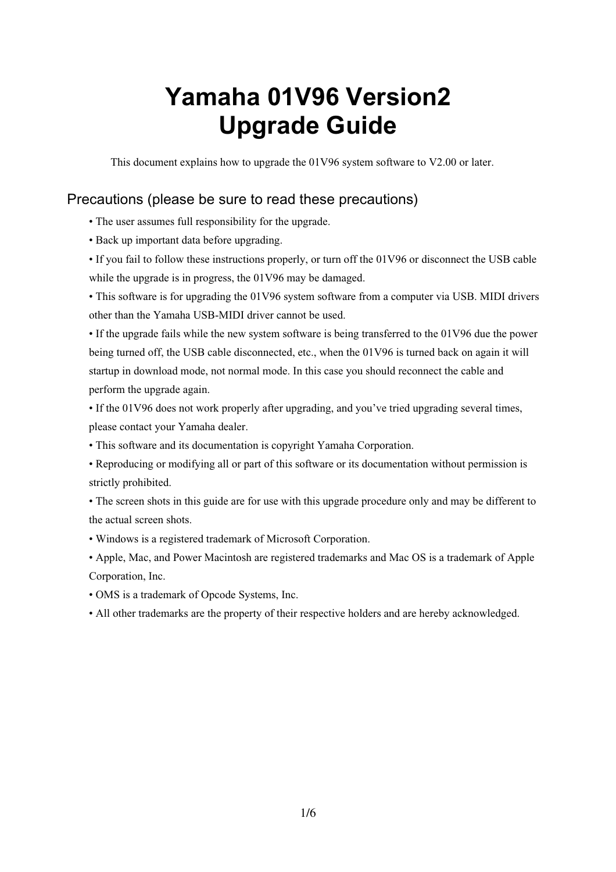# **Yamaha 01V96 Version2 Upgrade Guide**

This document explains how to upgrade the 01V96 system software to V2.00 or later.

## Precautions (please be sure to read these precautions)

- The user assumes full responsibility for the upgrade.
- Back up important data before upgrading.
- If you fail to follow these instructions properly, or turn off the 01V96 or disconnect the USB cable while the upgrade is in progress, the 01V96 may be damaged.
- This software is for upgrading the 01V96 system software from a computer via USB. MIDI drivers other than the Yamaha USB-MIDI driver cannot be used.

• If the upgrade fails while the new system software is being transferred to the 01V96 due the power being turned off, the USB cable disconnected, etc., when the 01V96 is turned back on again it will startup in download mode, not normal mode. In this case you should reconnect the cable and perform the upgrade again.

- If the 01V96 does not work properly after upgrading, and you've tried upgrading several times, please contact your Yamaha dealer.
- This software and its documentation is copyright Yamaha Corporation.
- Reproducing or modifying all or part of this software or its documentation without permission is strictly prohibited.
- The screen shots in this guide are for use with this upgrade procedure only and may be different to the actual screen shots.
- Windows is a registered trademark of Microsoft Corporation.
- Apple, Mac, and Power Macintosh are registered trademarks and Mac OS is a trademark of Apple Corporation, Inc.
- OMS is a trademark of Opcode Systems, Inc.
- All other trademarks are the property of their respective holders and are hereby acknowledged.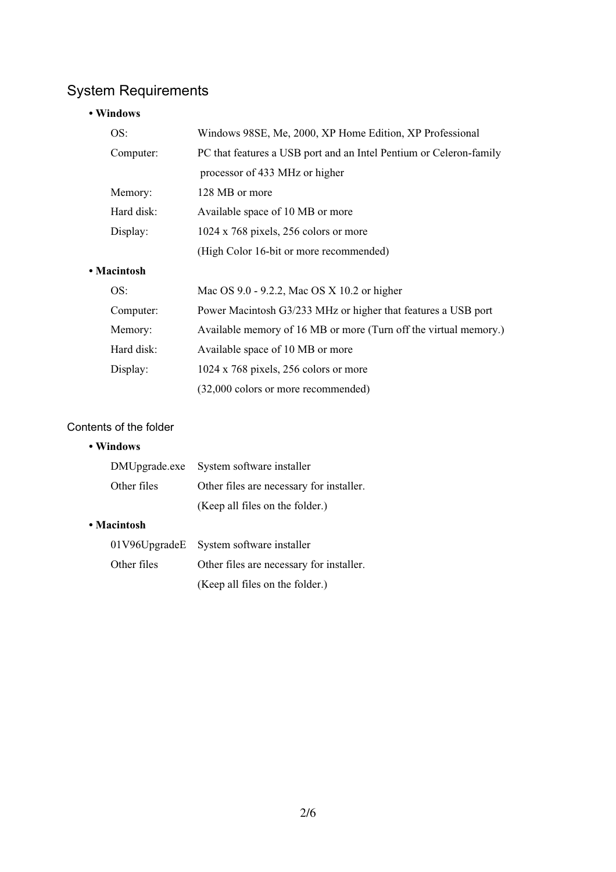# System Requirements

#### **• Windows**

| OS:<br>Computer:                                                |            | Windows 98SE, Me, 2000, XP Home Edition, XP Professional           |
|-----------------------------------------------------------------|------------|--------------------------------------------------------------------|
|                                                                 |            | PC that features a USB port and an Intel Pentium or Celeron-family |
|                                                                 |            | processor of 433 MHz or higher                                     |
|                                                                 | Memory:    | 128 MB or more                                                     |
|                                                                 | Hard disk: | Available space of 10 MB or more                                   |
| Display:                                                        |            | $1024 \times 768$ pixels, 256 colors or more                       |
|                                                                 |            | (High Color 16-bit or more recommended)                            |
| • Macintosh                                                     |            |                                                                    |
| OS:<br>Mac OS 9.0 - 9.2.2, Mac OS X 10.2 or higher<br>Computer: |            |                                                                    |
|                                                                 |            | Power Macintosh G3/233 MHz or higher that features a USB port      |
|                                                                 | Memory:    | Available memory of 16 MB or more (Turn off the virtual memory.)   |
|                                                                 | Hard disk: | Available space of 10 MB or more                                   |
|                                                                 |            |                                                                    |

Contents of the folder

#### **• Windows**

|             | DMUpgrade.exe System software installer  |  |
|-------------|------------------------------------------|--|
| Other files | Other files are necessary for installer. |  |
|             | (Keep all files on the folder.)          |  |

Display: 1024 x 768 pixels, 256 colors or more

(32,000 colors or more recommended)

#### **• Macintosh**

|             | 01V96UpgradeE System software installer  |  |
|-------------|------------------------------------------|--|
| Other files | Other files are necessary for installer. |  |
|             | (Keep all files on the folder.)          |  |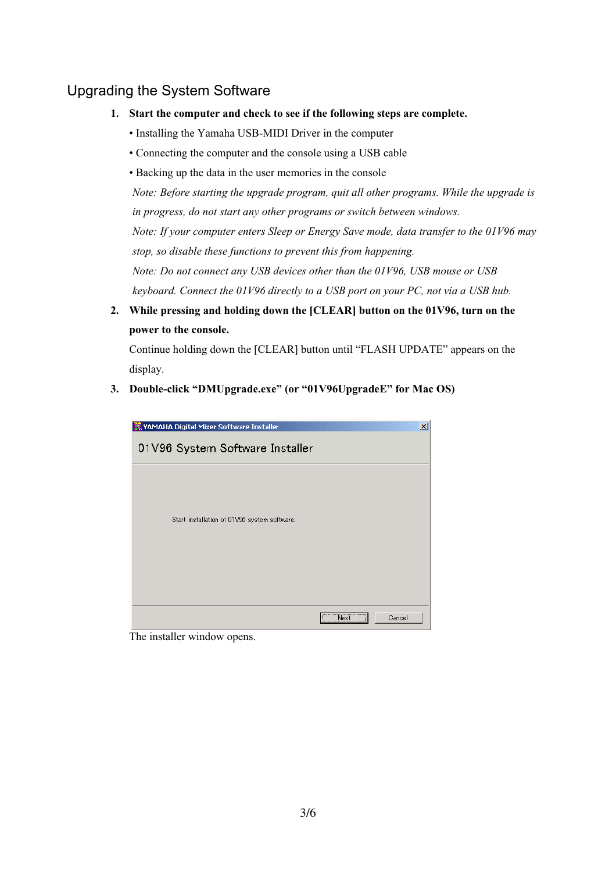# Upgrading the System Software

- **1. Start the computer and check to see if the following steps are complete.**
	- Installing the Yamaha USB-MIDI Driver in the computer
	- Connecting the computer and the console using a USB cable
	- Backing up the data in the user memories in the console

*Note: Before starting the upgrade program, quit all other programs. While the upgrade is in progress, do not start any other programs or switch between windows. Note: If your computer enters Sleep or Energy Save mode, data transfer to the 01V96 may stop, so disable these functions to prevent this from happening. Note: Do not connect any USB devices other than the 01V96, USB mouse or USB keyboard. Connect the 01V96 directly to a USB port on your PC, not via a USB hub.*

**2. While pressing and holding down the [CLEAR] button on the 01V96, turn on the power to the console.**

Continue holding down the [CLEAR] button until "FLASH UPDATE" appears on the display.

**3. Double-click "DMUpgrade.exe" (or "01V96UpgradeE" for Mac OS)**



The installer window opens.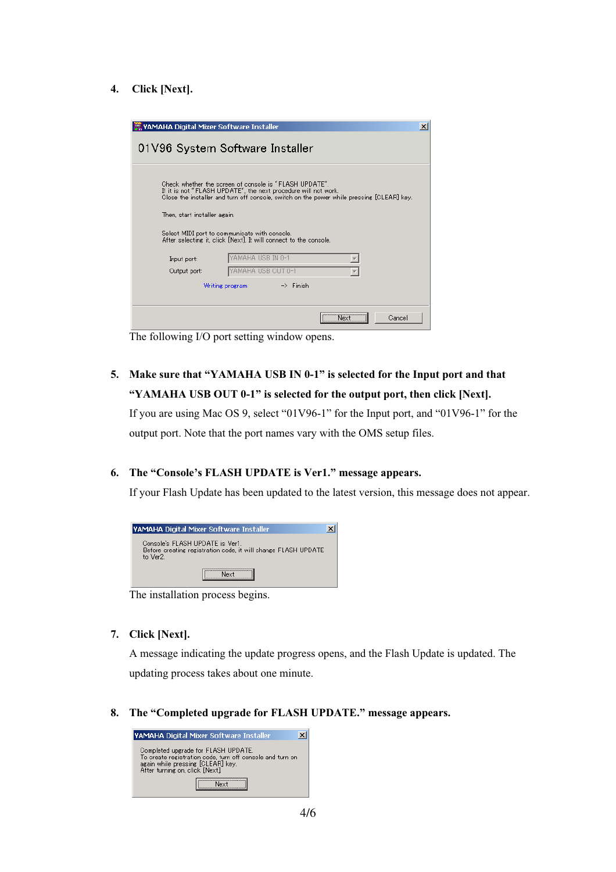#### **4. Click [Next].**

| <b>WAMAHA Digital Mixer Software Installer</b>                                                                                                                                                                                                                                                                                                                              | 01V96 System Software Installer | $\boldsymbol{\mathsf{x}}$ |  |  |  |
|-----------------------------------------------------------------------------------------------------------------------------------------------------------------------------------------------------------------------------------------------------------------------------------------------------------------------------------------------------------------------------|---------------------------------|---------------------------|--|--|--|
| Check whether the screen of console is "FLASH UPDATE".<br>If it is not "FLASH UPDATE", the next procedure will not work.<br>Close the installer and turn off console, switch on the power while pressing [CLEAR] key.<br>Then, start installer again.<br>Select MIDI port to communicate with console.<br>After selecting it, click [Next]. It will connect to the console. |                                 |                           |  |  |  |
| Input port:                                                                                                                                                                                                                                                                                                                                                                 | YAMAHA USB IN 0-1               |                           |  |  |  |
| Output port:                                                                                                                                                                                                                                                                                                                                                                | ∕AMAHA USB OUT 0-1              |                           |  |  |  |
| $\rightarrow$ Finish<br>Writing program                                                                                                                                                                                                                                                                                                                                     |                                 |                           |  |  |  |
|                                                                                                                                                                                                                                                                                                                                                                             |                                 |                           |  |  |  |
|                                                                                                                                                                                                                                                                                                                                                                             | Next <sup>1</sup><br>Cancel     |                           |  |  |  |

The following I/O port setting window opens.

**5. Make sure that "YAMAHA USB IN 0-1" is selected for the Input port and that "YAMAHA USB OUT 0-1" is selected for the output port, then click [Next].**

If you are using Mac OS 9, select "01V96-1" for the Input port, and "01V96-1" for the output port. Note that the port names vary with the OMS setup files.

#### **6. The "Console's FLASH UPDATE is Ver1." message appears.**

If your Flash Update has been updated to the latest version, this message does not appear.

| YAMAHA Digital Mixer Software Installer                                                                      |  |  |  |
|--------------------------------------------------------------------------------------------------------------|--|--|--|
| Console's FLASH UPDATE is Ver1.<br>Before creating registration code, it will change FLASH UPDATE<br>to Ver2 |  |  |  |
|                                                                                                              |  |  |  |

The installation process begins.

#### **7. Click [Next].**

A message indicating the update progress opens, and the Flash Update is updated. The updating process takes about one minute.

#### **8. The "Completed upgrade for FLASH UPDATE." message appears.**

| YAMAHA Digital Mixer Software Installer                                                                                                                                  |
|--------------------------------------------------------------------------------------------------------------------------------------------------------------------------|
| Completed upgrade for FLASH UPDATE.<br>To create registration code, turn off console and turn on<br>again while pressing [CLEAR] key.<br>After turning on, click [Next]. |
|                                                                                                                                                                          |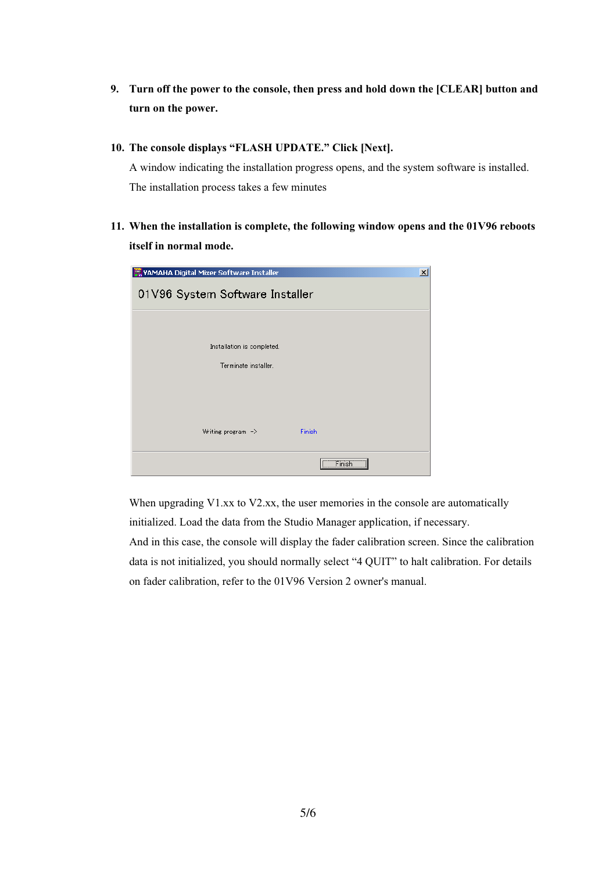- **9. Turn off the power to the console, then press and hold down the [CLEAR] button and turn on the power.**
- **10. The console displays "FLASH UPDATE." Click [Next].**

A window indicating the installation progress opens, and the system software is installed. The installation process takes a few minutes

**11. When the installation is complete, the following window opens and the 01V96 reboots itself in normal mode.**

| $\vert x \vert$<br><b>WAMAHA Digital Mixer Software Installer</b> |        |  |  |  |  |
|-------------------------------------------------------------------|--------|--|--|--|--|
| 01V96 System Software Installer                                   |        |  |  |  |  |
|                                                                   |        |  |  |  |  |
| Installation is completed.                                        |        |  |  |  |  |
| Terminate installer.                                              |        |  |  |  |  |
|                                                                   |        |  |  |  |  |
|                                                                   |        |  |  |  |  |
| Writing program $\Rightarrow$                                     | Finish |  |  |  |  |
|                                                                   |        |  |  |  |  |
|                                                                   | Finish |  |  |  |  |

When upgrading V1.xx to V2.xx, the user memories in the console are automatically initialized. Load the data from the Studio Manager application, if necessary.

And in this case, the console will display the fader calibration screen. Since the calibration data is not initialized, you should normally select "4 QUIT" to halt calibration. For details on fader calibration, refer to the 01V96 Version 2 owner's manual.